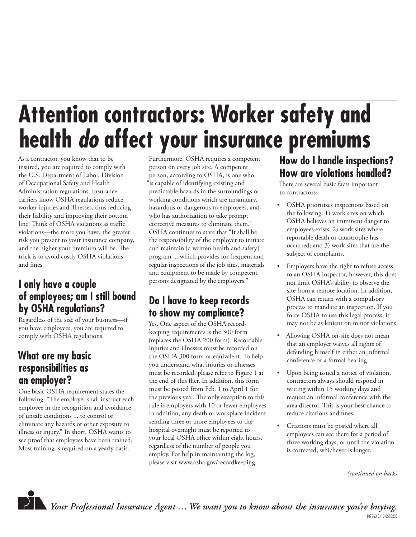# **Attention contractors: Worker safety and health** *do* **affect your insurance premiums**

As a contractor, you know that to be insured, you are required to comply with the U.S. Department of Labor, Division of Occupational Safety and Health Administration regulations. Insurance carriers know OSHA regulations reduce worker injuries and illnesses, thus reducing their liability and improving their bottom line. Think of OSHA violations as traffic violations—the more you have, the greater risk you present to your insurance company, and the higher your premium will be. The trick is to avoid costly OSHA violations and fines.

### **I only have a couple of employees; am I still bound by OSHA regulations?**

Regardless of the size of your business—if you have employees, you are required to comply with OSHA regulations.

#### **What are my basic responsibilities as an employer?**

One basic OSHA requirement states the following: "The employer shall instruct each employee in the recognition and avoidance of unsafe conditions ... to control or eliminate any hazards or other exposure to illness or injury." In short, OSHA wants to see proof that employees have been trained. Most training is required on a yearly basis.

Furthermore, OSHA requires a competent person on every job site. A competent person, according to OSHA, is one who "is capable of identifying existing and predictable hazards in the surroundings or working conditions which are unsanitary, hazardous or dangerous to employees, and who has authorization to take prompt corrective measures to eliminate them." OSHA continues to state that "It shall be the responsibility of the employer to initiate and maintain [a written health and safety] program ... which provides for frequent and regular inspections of the job sites, materials and equipment to be made by competent persons designated by the employers."

## **Do I have to keep records to show my compliance?**

Yes. One aspect of the OSHA recordkeeping requirements is the 300 form (replaces the OSHA 200 form). Recordable injuries and illnesses must be recorded on the OSHA 300 form or equivalent. To help you understand what injuries or illnesses must be recorded, please refer to Figure 1 at the end of this flier. In addition, this form must be posted from Feb. 1 to April 1 for the previous year. The only exception to this rule is employers with 10 or fewer employees. In addition, any death or workplace incident sending three or more employees to the hospital overnight must be reported to your local OSHA office within eight hours, regardless of the number of people you employ. For help in maintaining the log, please visit www.osha.gov/recordkeeping.

### **How do I handle inspections? How are violations handled?**

There are several basic facts important to contractors:

- OSHA prioritizes inspections based on the following: 1) work sites on which OSHA believes an imminent danger to employees exists; 2) work sites where reportable death or catastrophe has occurred; and 3) work sites that are the subject of complaints.
- Employers have the right to refuse access to an OSHA inspector, however, this does not limit OSHA's ability to observe the site from a remote location. In addition, OSHA can return with a compulsory process to mandate an inspection. If you force OSHA to use this legal process, it may not be as lenient on minor violations.
- Allowing OSHA on-site does not mean that an employer waives all rights of defending himself in either an informal conference or a formal hearing.
- Upon being issued a notice of violation, contractors always should respond in writing within 15 working days and request an informal conference with the area director. This is your best chance to reduce citations and fines.
- Citations must be posted where all employees can see them for a period of three working days, or until the violation is corrected, whichever is longer.

*(continued on back)*



*Your Professional Insurance Agent … We want you to know about the insurance you're buying.*  107963 3/13 QS90238